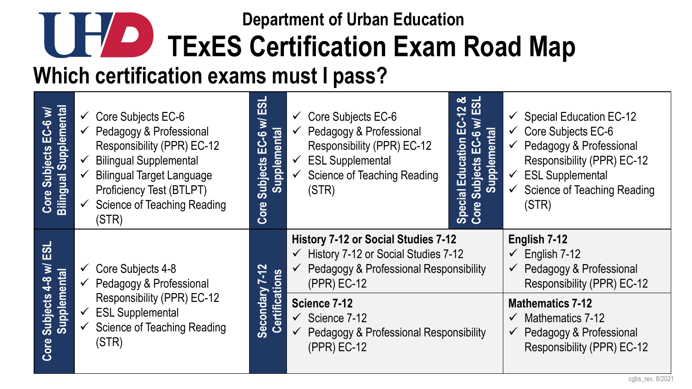## **Which certification exams must I pass? Department of Urban Education TEXES Certification Exam Road Map**

| <b>Bilingual Supplemental</b><br>Core Subjects EC-6 w/ | $\checkmark$ Core Subjects EC-6<br>$\checkmark$ Pedagogy & Professional<br>Responsibility (PPR) EC-12<br>$\checkmark$ Bilingual Supplemental<br><b>Bilingual Target Language</b><br><b>Proficiency Test (BTLPT)</b><br><b>Science of Teaching Reading</b><br>(STR) | $\overline{\bm{v}}$<br>Щ<br>$\geq$<br>Supplemental<br>$E - 6$<br>Subjects<br>Core | $\checkmark$ Core Subjects EC-6<br>Pedagogy & Professional<br>$\checkmark$<br>Responsibility (PPR) EC-12<br><b>ESL Supplemental</b><br>$\checkmark$<br><b>Science of Teaching Reading</b><br>$\sqrt{2}$<br>(STR) | 12 &<br>ESL<br>⋚<br><u>ပ်</u><br>Subjects EC-6 w<br>Supplemental<br>Education<br>$\mathbf{G}$<br>Special<br>Core Sul | <b>Special Education EC-12</b><br>$\checkmark$<br>$\checkmark$ Core Subjects EC-6<br>Pedagogy & Professional<br>$\checkmark$<br>Responsibility (PPR) EC-12<br>$\checkmark$ ESL Supplemental<br><b>Science of Teaching Reading</b><br>$\checkmark$<br>(STR) |  |
|--------------------------------------------------------|--------------------------------------------------------------------------------------------------------------------------------------------------------------------------------------------------------------------------------------------------------------------|-----------------------------------------------------------------------------------|------------------------------------------------------------------------------------------------------------------------------------------------------------------------------------------------------------------|----------------------------------------------------------------------------------------------------------------------|------------------------------------------------------------------------------------------------------------------------------------------------------------------------------------------------------------------------------------------------------------|--|
| ESL<br>$\geq$                                          | $\checkmark$ Core Subjects 4-8<br>Responsibility (PPR) EC-12                                                                                                                                                                                                       | $-12$<br>Certifications<br>$\overline{ }$<br><b>Secondary</b>                     | History 7-12 or Social Studies 7-12<br>$\checkmark$ History 7-12 or Social Studies 7-12<br>$\checkmark$ Pedagogy & Professional Responsibility<br>(PPR) EC-12                                                    |                                                                                                                      | English 7-12<br>$\checkmark$ English 7-12<br>$\checkmark$ Pedagogy & Professional<br>Responsibility (PPR) EC-12                                                                                                                                            |  |
| Supplemental<br>Subjects 4-8                           | $\checkmark$ Pedagogy & Professional                                                                                                                                                                                                                               |                                                                                   |                                                                                                                                                                                                                  |                                                                                                                      |                                                                                                                                                                                                                                                            |  |